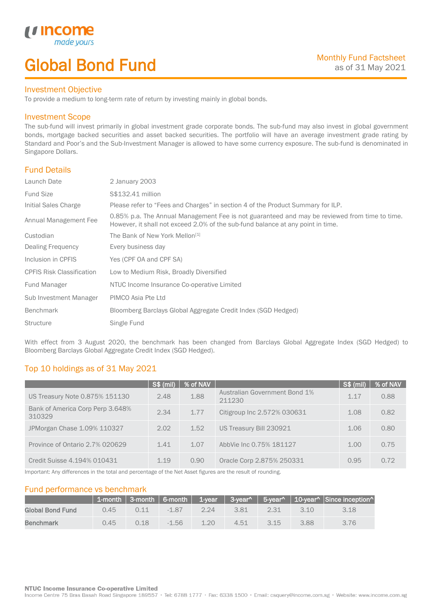# Global Bond Fund

#### Investment Objective

made<sub>1</sub>

*u* incom

I

To provide a medium to long-term rate of return by investing mainly in global bonds.

### Investment Scope

The sub-fund will invest primarily in global investment grade corporate bonds. The sub-fund may also invest in global government bonds, mortgage backed securities and asset backed securities. The portfolio will have an average investment grade rating by Standard and Poor's and the Sub-Investment Manager is allowed to have some currency exposure. The sub-fund is denominated in Singapore Dollars.

## Fund Details

| Launch Date                      | 2 January 2003                                                                                                                                                                   |
|----------------------------------|----------------------------------------------------------------------------------------------------------------------------------------------------------------------------------|
| <b>Fund Size</b>                 | S\$132.41 million                                                                                                                                                                |
| Initial Sales Charge             | Please refer to "Fees and Charges" in section 4 of the Product Summary for ILP.                                                                                                  |
| Annual Management Fee            | 0.85% p.a. The Annual Management Fee is not guaranteed and may be reviewed from time to time.<br>However, it shall not exceed 2.0% of the sub-fund balance at any point in time. |
| Custodian                        | The Bank of New York Mellon <sup>[1]</sup>                                                                                                                                       |
| Dealing Frequency                | Every business day                                                                                                                                                               |
| Inclusion in CPFIS               | Yes (CPF OA and CPF SA)                                                                                                                                                          |
| <b>CPFIS Risk Classification</b> | Low to Medium Risk, Broadly Diversified                                                                                                                                          |
| Fund Manager                     | NTUC Income Insurance Co-operative Limited                                                                                                                                       |
| Sub Investment Manager           | PIMCO Asia Pte Ltd                                                                                                                                                               |
| <b>Benchmark</b>                 | Bloomberg Barclays Global Aggregate Credit Index (SGD Hedged)                                                                                                                    |
| <b>Structure</b>                 | Single Fund                                                                                                                                                                      |

With effect from 3 August 2020, the benchmark has been changed from Barclays Global Aggregate Index (SGD Hedged) to Bloomberg Barclays Global Aggregate Credit Index (SGD Hedged).

## Top 10 holdings as of 31 May 2021

|                                            | S\$ (mil) | % of NAV |                                         | S\$ (mil) | % of NAV |
|--------------------------------------------|-----------|----------|-----------------------------------------|-----------|----------|
| US Treasury Note 0.875% 151130             | 2.48      | 1.88     | Australian Government Bond 1%<br>211230 | 1.17      | 0.88     |
| Bank of America Corp Perp 3.648%<br>310329 | 2.34      | 1.77     | Citigroup Inc 2.572% 030631             | 1.08      | 0.82     |
| JPMorgan Chase 1.09% 110327                | 2.02      | 1.52     | US Treasury Bill 230921                 | 1.06      | 0.80     |
| Province of Ontario 2.7% 020629            | 1.41      | 1.07     | AbbVie Inc 0.75% 181127                 | 1.00      | 0.75     |
| Credit Suisse 4.194% 010431                | 1.19      | 0.90     | Oracle Corp 2.875% 250331               | 0.95      | 0.72     |

Important: Any differences in the total and percentage of the Net Asset figures are the result of rounding.

## Fund performance vs benchmark

|                  |      |      |         |     |      |      |      | 1-month   3-month   6-month   1-year   3-year^   5-year^   10-year^   Since inception^ |
|------------------|------|------|---------|-----|------|------|------|----------------------------------------------------------------------------------------|
| Global Bond Fund | 0.45 |      | $-1.87$ | 224 | 3.81 | 2.31 | 3.10 | 3.18                                                                                   |
| Benchmark        | 0.45 | N 18 | $-1.56$ | 120 | 4.51 | 3 15 | 3.88 | 3.76                                                                                   |